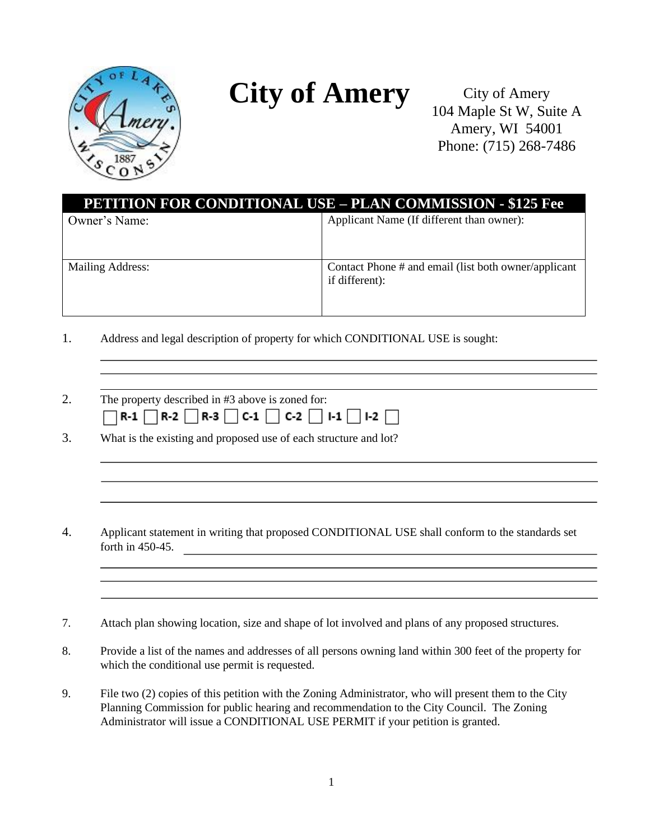

## **City of Amery**

City of Amery 104 Maple St W, Suite A Amery, WI 54001 Phone: (715) 268-7486

| <b>PETITION FOR CONDITIONAL USE – PLAN COMMISSION - \$125 Fee</b> |                                                                        |
|-------------------------------------------------------------------|------------------------------------------------------------------------|
| Owner's Name:                                                     | Applicant Name (If different than owner):                              |
| Mailing Address:                                                  | Contact Phone # and email (list both owner/applicant<br>if different): |

- 1. Address and legal description of property for which CONDITIONAL USE is sought:
- 2. The property described in #3 above is zoned for:  $\Box$ R-1  $\Box$ R-2  $\Box$ R-3  $\Box$ C-1  $\Box$ C-2  $\Box$ I-1  $\Box$ I-2  $\Box$
- 3. What is the existing and proposed use of each structure and lot?
- 4. Applicant statement in writing that proposed CONDITIONAL USE shall conform to the standards set forth in 450-45.
- 7. Attach plan showing location, size and shape of lot involved and plans of any proposed structures.
- 8. Provide a list of the names and addresses of all persons owning land within 300 feet of the property for which the conditional use permit is requested.
- 9. File two (2) copies of this petition with the Zoning Administrator, who will present them to the City Planning Commission for public hearing and recommendation to the City Council. The Zoning Administrator will issue a CONDITIONAL USE PERMIT if your petition is granted.